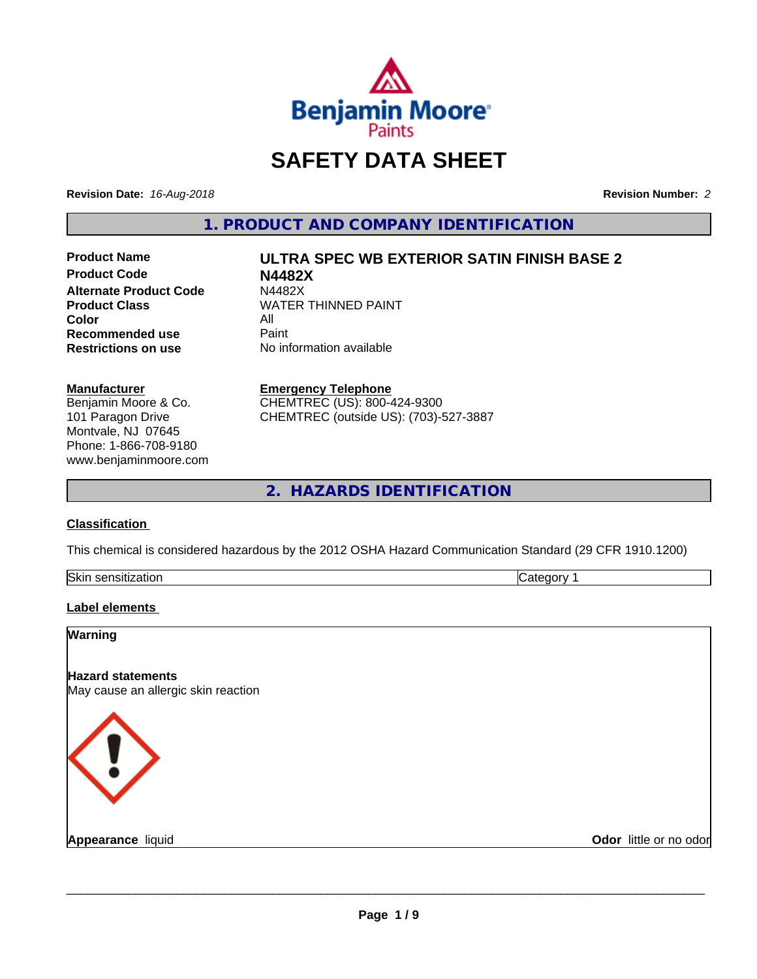

# **SAFETY DATA SHEET**

**Revision Date:** *16-Aug-2018* **Revision Number:** *2*

**1. PRODUCT AND COMPANY IDENTIFICATION**

**Product Code N4482X Alternate Product Code M4482X**<br>Product Class WATER **Color** All<br> **Recommended use** Paint **Recommended use**<br>Restrictions on use

# **Product Name ULTRA SPEC WB EXTERIOR SATIN FINISH BASE 2**

**WATER THINNED PAINT No information available** 

#### **Manufacturer**

Benjamin Moore & Co. 101 Paragon Drive Montvale, NJ 07645 Phone: 1-866-708-9180 www.benjaminmoore.com

#### **Emergency Telephone**

CHEMTREC (US): 800-424-9300 CHEMTREC (outside US): (703)-527-3887

**2. HAZARDS IDENTIFICATION**

#### **Classification**

This chemical is considered hazardous by the 2012 OSHA Hazard Communication Standard (29 CFR 1910.1200)

| Skir<br>.<br>- 11<br>5511<br>auvi |  |
|-----------------------------------|--|
|                                   |  |

#### **Label elements**

| Warning                                                         |                        |
|-----------------------------------------------------------------|------------------------|
| <b>Hazard statements</b><br>May cause an allergic skin reaction |                        |
| $\langle \, \vert \, \rangle$                                   |                        |
| <b>Appearance liquid</b>                                        | Odor little or no odor |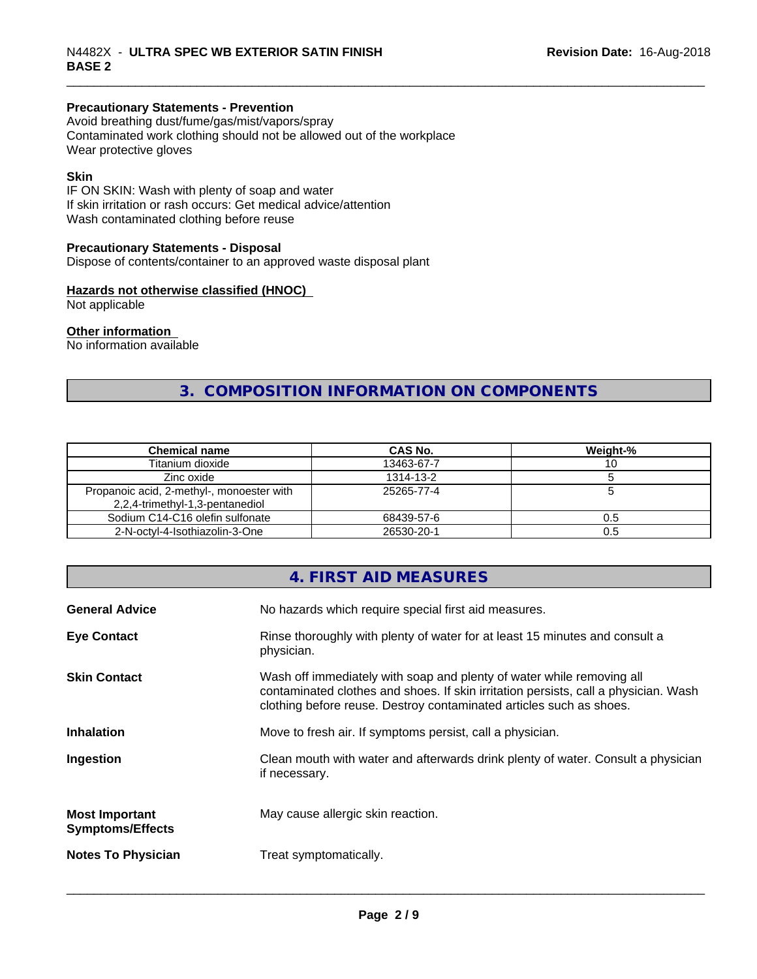#### **Precautionary Statements - Prevention**

Avoid breathing dust/fume/gas/mist/vapors/spray Contaminated work clothing should not be allowed out of the workplace Wear protective gloves

#### **Skin**

IF ON SKIN: Wash with plenty of soap and water If skin irritation or rash occurs: Get medical advice/attention Wash contaminated clothing before reuse

#### **Precautionary Statements - Disposal**

Dispose of contents/container to an approved waste disposal plant

#### **Hazards not otherwise classified (HNOC)**

Not applicable

#### **Other information**

No information available

## **3. COMPOSITION INFORMATION ON COMPONENTS**

| <b>Chemical name</b>                      | CAS No.    | Weight-% |
|-------------------------------------------|------------|----------|
| Titanium dioxide                          | 13463-67-7 | ιv       |
| Zinc oxide                                | 1314-13-2  |          |
| Propanoic acid, 2-methyl-, monoester with | 25265-77-4 |          |
| 2,2,4-trimethyl-1,3-pentanediol           |            |          |
| Sodium C14-C16 olefin sulfonate           | 68439-57-6 | 0.5      |
| 2-N-octvl-4-Isothiazolin-3-One            | 26530-20-1 | 0.5      |

### **4. FIRST AID MEASURES**

| <b>General Advice</b>                            | No hazards which require special first aid measures.                                                                                                                                                                                |
|--------------------------------------------------|-------------------------------------------------------------------------------------------------------------------------------------------------------------------------------------------------------------------------------------|
| <b>Eye Contact</b>                               | Rinse thoroughly with plenty of water for at least 15 minutes and consult a<br>physician.                                                                                                                                           |
| <b>Skin Contact</b>                              | Wash off immediately with soap and plenty of water while removing all<br>contaminated clothes and shoes. If skin irritation persists, call a physician. Wash<br>clothing before reuse. Destroy contaminated articles such as shoes. |
| <b>Inhalation</b>                                | Move to fresh air. If symptoms persist, call a physician.                                                                                                                                                                           |
| Ingestion                                        | Clean mouth with water and afterwards drink plenty of water. Consult a physician<br>if necessary.                                                                                                                                   |
| <b>Most Important</b><br><b>Symptoms/Effects</b> | May cause allergic skin reaction.                                                                                                                                                                                                   |
| <b>Notes To Physician</b>                        | Treat symptomatically.                                                                                                                                                                                                              |
|                                                  |                                                                                                                                                                                                                                     |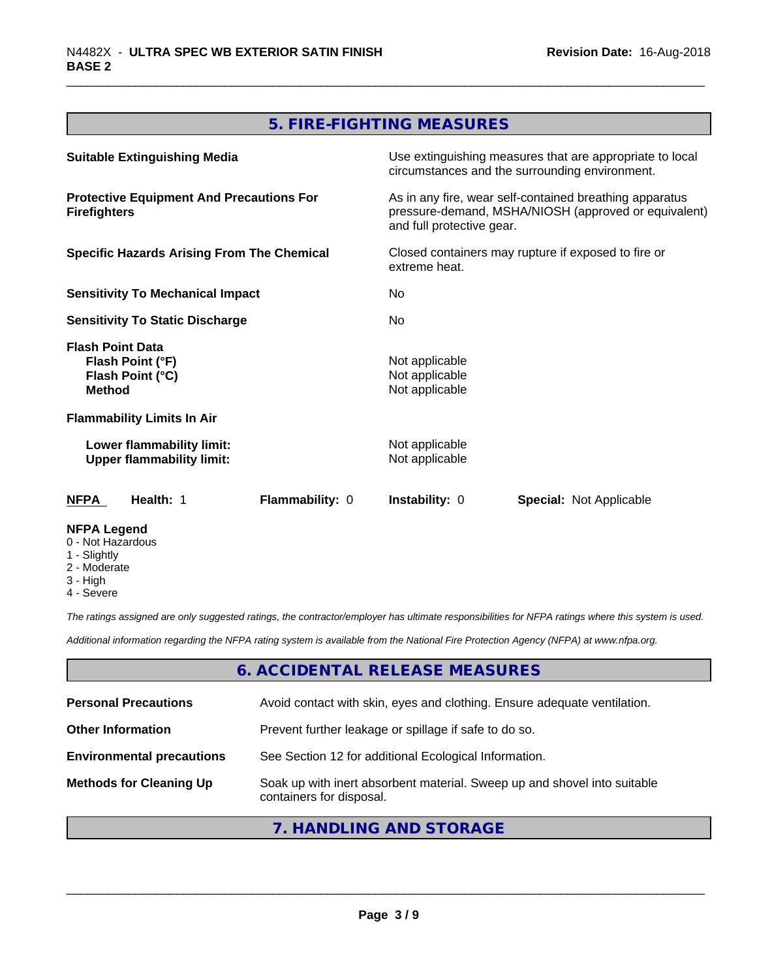## **5. FIRE-FIGHTING MEASURES**

| <b>Suitable Extinguishing Media</b>                                              | Use extinguishing measures that are appropriate to local<br>circumstances and the surrounding environment.                                   |  |  |
|----------------------------------------------------------------------------------|----------------------------------------------------------------------------------------------------------------------------------------------|--|--|
| <b>Protective Equipment And Precautions For</b><br><b>Firefighters</b>           | As in any fire, wear self-contained breathing apparatus<br>pressure-demand, MSHA/NIOSH (approved or equivalent)<br>and full protective gear. |  |  |
| <b>Specific Hazards Arising From The Chemical</b>                                | Closed containers may rupture if exposed to fire or<br>extreme heat.                                                                         |  |  |
| <b>Sensitivity To Mechanical Impact</b>                                          | No.                                                                                                                                          |  |  |
| <b>Sensitivity To Static Discharge</b>                                           | No                                                                                                                                           |  |  |
| <b>Flash Point Data</b><br>Flash Point (°F)<br>Flash Point (°C)<br><b>Method</b> | Not applicable<br>Not applicable<br>Not applicable                                                                                           |  |  |
| <b>Flammability Limits In Air</b>                                                |                                                                                                                                              |  |  |
| Lower flammability limit:<br><b>Upper flammability limit:</b>                    | Not applicable<br>Not applicable                                                                                                             |  |  |
| Health: 1<br><b>Flammability: 0</b><br>NFPA                                      | <b>Instability: 0</b><br><b>Special: Not Applicable</b>                                                                                      |  |  |
| <b>NFPA Legend</b><br>0 - Not Hazardous<br>1 - Slightly                          |                                                                                                                                              |  |  |

- 2 Moderate
- 3 High
- 4 Severe

*The ratings assigned are only suggested ratings, the contractor/employer has ultimate responsibilities for NFPA ratings where this system is used.*

*Additional information regarding the NFPA rating system is available from the National Fire Protection Agency (NFPA) at www.nfpa.org.*

#### **6. ACCIDENTAL RELEASE MEASURES**

| <b>Personal Precautions</b>      | Avoid contact with skin, eyes and clothing. Ensure adequate ventilation.                             |
|----------------------------------|------------------------------------------------------------------------------------------------------|
| <b>Other Information</b>         | Prevent further leakage or spillage if safe to do so.                                                |
| <b>Environmental precautions</b> | See Section 12 for additional Ecological Information.                                                |
| <b>Methods for Cleaning Up</b>   | Soak up with inert absorbent material. Sweep up and shovel into suitable<br>containers for disposal. |

#### **7. HANDLING AND STORAGE**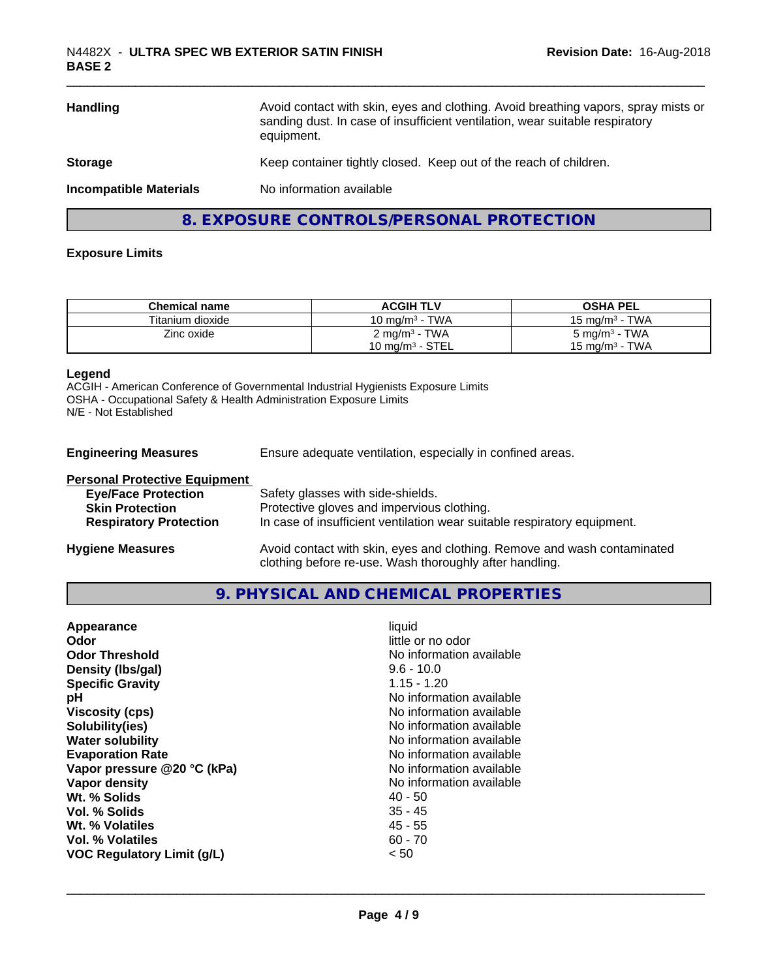| Avoid contact with skin, eyes and clothing. Avoid breathing vapors, spray mists or<br>Handling<br>sanding dust. In case of insufficient ventilation, wear suitable respiratory<br>equipment. |                                                                   |
|----------------------------------------------------------------------------------------------------------------------------------------------------------------------------------------------|-------------------------------------------------------------------|
| <b>Storage</b>                                                                                                                                                                               | Keep container tightly closed. Keep out of the reach of children. |
| <b>Incompatible Materials</b>                                                                                                                                                                | No information available                                          |
|                                                                                                                                                                                              | 8. EXPOSURE CONTROLS/PERSONAL PROTECTION                          |

#### **Exposure Limits**

| <b>Chemical name</b> | <b>ACGIH TLV</b>            | <b>OSHA PEL</b>            |
|----------------------|-----------------------------|----------------------------|
| Titanium dioxide     | 10 mg/m $3$ - TWA           | 15 mg/m $3$ - TWA          |
| Zinc oxide           | 2 mg/m <sup>3</sup> - TWA   | $5 \text{ mg/m}^3$ - TWA   |
|                      | 10 mg/m <sup>3</sup> - STEL | 15 mg/m <sup>3</sup> - TWA |

#### **Legend**

ACGIH - American Conference of Governmental Industrial Hygienists Exposure Limits OSHA - Occupational Safety & Health Administration Exposure Limits N/E - Not Established

**Engineering Measures** Ensure adequate ventilation, especially in confined areas.

| <b>Personal Protective Equipment</b> |                                                                                                                                     |
|--------------------------------------|-------------------------------------------------------------------------------------------------------------------------------------|
| <b>Eye/Face Protection</b>           | Safety glasses with side-shields.                                                                                                   |
| <b>Skin Protection</b>               | Protective gloves and impervious clothing.                                                                                          |
| <b>Respiratory Protection</b>        | In case of insufficient ventilation wear suitable respiratory equipment.                                                            |
| <b>Hygiene Measures</b>              | Avoid contact with skin, eyes and clothing. Remove and wash contaminated<br>clothing before re-use. Wash thoroughly after handling. |

#### **9. PHYSICAL AND CHEMICAL PROPERTIES**

| little or no odor<br>Odor<br>No information available<br><b>Odor Threshold</b><br>Density (Ibs/gal)<br>$9.6 - 10.0$<br><b>Specific Gravity</b><br>$1.15 - 1.20$<br>No information available<br>рH<br><b>Viscosity (cps)</b><br>No information available<br>Solubility(ies)<br>No information available<br>No information available<br><b>Water solubility</b><br><b>Evaporation Rate</b><br>No information available<br>Vapor pressure @20 °C (kPa)<br>No information available<br>No information available<br>Vapor density<br>Wt. % Solids<br>$40 - 50$<br>$35 - 45$<br>Vol. % Solids<br>Wt. % Volatiles<br>45 - 55<br>Vol. % Volatiles<br>$60 - 70$<br>VOC Regulatory Limit (g/L)<br>< 50 |
|----------------------------------------------------------------------------------------------------------------------------------------------------------------------------------------------------------------------------------------------------------------------------------------------------------------------------------------------------------------------------------------------------------------------------------------------------------------------------------------------------------------------------------------------------------------------------------------------------------------------------------------------------------------------------------------------|
|----------------------------------------------------------------------------------------------------------------------------------------------------------------------------------------------------------------------------------------------------------------------------------------------------------------------------------------------------------------------------------------------------------------------------------------------------------------------------------------------------------------------------------------------------------------------------------------------------------------------------------------------------------------------------------------------|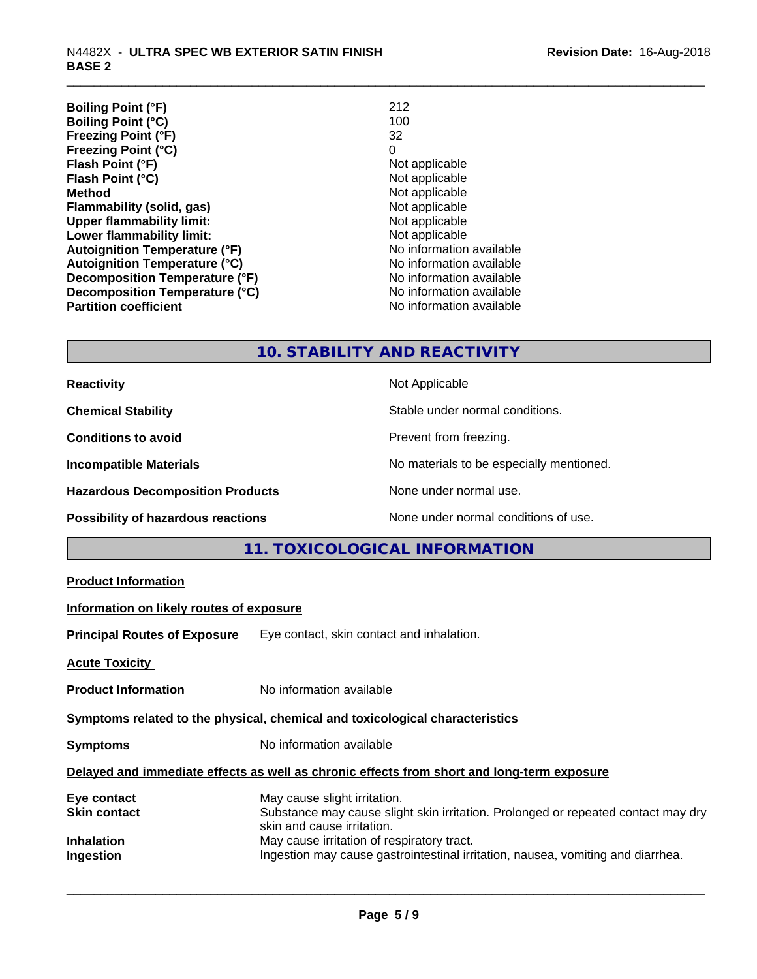| <b>Boiling Point (°F)</b>            | 212                      |
|--------------------------------------|--------------------------|
| <b>Boiling Point (°C)</b>            | 100                      |
| Freezing Point (°F)                  | 32                       |
| <b>Freezing Point (°C)</b>           | 0                        |
| Flash Point (°F)                     | Not applicable           |
| Flash Point (°C)                     | Not applicable           |
| <b>Method</b>                        | Not applicable           |
| Flammability (solid, gas)            | Not applicable           |
| <b>Upper flammability limit:</b>     | Not applicable           |
| Lower flammability limit:            | Not applicable           |
| <b>Autoignition Temperature (°F)</b> | No information available |
| <b>Autoignition Temperature (°C)</b> | No information available |
| Decomposition Temperature (°F)       | No information available |
| Decomposition Temperature (°C)       | No information available |
| <b>Partition coefficient</b>         | No information available |

## **10. STABILITY AND REACTIVITY**

| <b>Reactivity</b>                         | Not Applicable                           |
|-------------------------------------------|------------------------------------------|
| <b>Chemical Stability</b>                 | Stable under normal conditions.          |
| <b>Conditions to avoid</b>                | Prevent from freezing.                   |
| <b>Incompatible Materials</b>             | No materials to be especially mentioned. |
| <b>Hazardous Decomposition Products</b>   | None under normal use.                   |
| <b>Possibility of hazardous reactions</b> | None under normal conditions of use.     |

## **11. TOXICOLOGICAL INFORMATION**

| <b>Product Information</b>               |                                                                                                                                                 |
|------------------------------------------|-------------------------------------------------------------------------------------------------------------------------------------------------|
| Information on likely routes of exposure |                                                                                                                                                 |
|                                          | Principal Routes of Exposure Eye contact, skin contact and inhalation.                                                                          |
| <b>Acute Toxicity</b>                    |                                                                                                                                                 |
| <b>Product Information</b>               | No information available                                                                                                                        |
|                                          | Symptoms related to the physical, chemical and toxicological characteristics                                                                    |
| <b>Symptoms</b>                          | No information available                                                                                                                        |
|                                          | Delayed and immediate effects as well as chronic effects from short and long-term exposure                                                      |
| Eye contact<br>Skin contact              | May cause slight irritation.<br>Substance may cause slight skin irritation. Prolonged or repeated contact may dry<br>skin and cause irritation. |
| Inhalation<br>Ingestion                  | May cause irritation of respiratory tract.<br>Ingestion may cause gastrointestinal irritation, nausea, vomiting and diarrhea.                   |
|                                          |                                                                                                                                                 |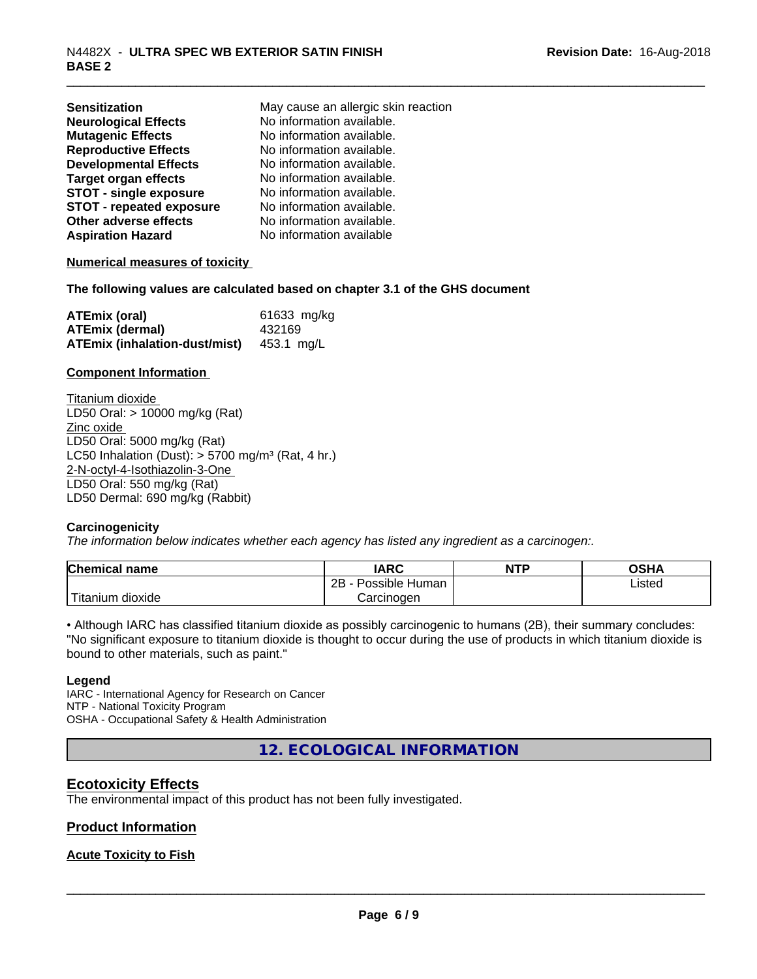| <b>Sensitization</b>            | May cause an allergic skin reaction |
|---------------------------------|-------------------------------------|
| <b>Neurological Effects</b>     | No information available.           |
| <b>Mutagenic Effects</b>        | No information available.           |
| <b>Reproductive Effects</b>     | No information available.           |
| <b>Developmental Effects</b>    | No information available.           |
| <b>Target organ effects</b>     | No information available.           |
| <b>STOT - single exposure</b>   | No information available.           |
| <b>STOT - repeated exposure</b> | No information available.           |
| Other adverse effects           | No information available.           |
| <b>Aspiration Hazard</b>        | No information available            |

#### **Numerical measures of toxicity**

**The following values are calculated based on chapter 3.1 of the GHS document**

| <b>ATEmix (oral)</b>                            | 61633 mg/kg |
|-------------------------------------------------|-------------|
| <b>ATEmix (dermal)</b>                          | 432169      |
| <b>ATEmix (inhalation-dust/mist)</b> 453.1 mg/L |             |

#### **Component Information**

Titanium dioxide LD50 Oral: > 10000 mg/kg (Rat) Zinc oxide LD50 Oral: 5000 mg/kg (Rat) LC50 Inhalation (Dust):  $> 5700$  mg/m<sup>3</sup> (Rat, 4 hr.) 2-N-octyl-4-Isothiazolin-3-One LD50 Oral: 550 mg/kg (Rat) LD50 Dermal: 690 mg/kg (Rabbit)

#### **Carcinogenicity**

*The information below indicateswhether each agency has listed any ingredient as a carcinogen:.*

| <b>Chemical name</b>       | <b>IARC</b>          | <b>NTP</b> | OSHA   |
|----------------------------|----------------------|------------|--------|
|                            | Possible Human<br>2B |            | Listed |
| ' Titanium 、<br>.n dioxide | Carcinoɑen           |            |        |

• Although IARC has classified titanium dioxide as possibly carcinogenic to humans (2B), their summary concludes: "No significant exposure to titanium dioxide is thought to occur during the use of products in which titanium dioxide is bound to other materials, such as paint."

#### **Legend**

IARC - International Agency for Research on Cancer NTP - National Toxicity Program OSHA - Occupational Safety & Health Administration

**12. ECOLOGICAL INFORMATION**

#### **Ecotoxicity Effects**

The environmental impact of this product has not been fully investigated.

#### **Product Information**

#### **Acute Toxicity to Fish**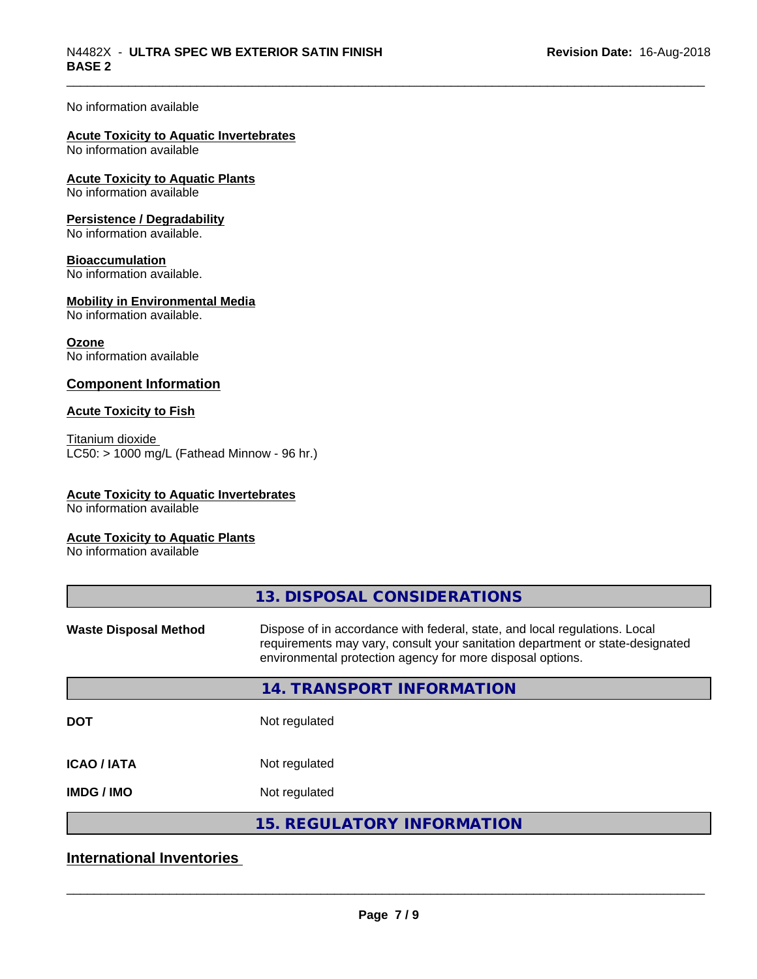#### No information available

## **Acute Toxicity to Aquatic Invertebrates**

No information available

## **Acute Toxicity to Aquatic Plants**

No information available

#### **Persistence / Degradability**

No information available.

#### **Bioaccumulation**

No information available.

#### **Mobility in Environmental Media**

No information available.

#### **Ozone**

No information available

#### **Component Information**

#### **Acute Toxicity to Fish**

Titanium dioxide  $LC50:$  > 1000 mg/L (Fathead Minnow - 96 hr.)

#### **Acute Toxicity to Aquatic Invertebrates**

No information available

#### **Acute Toxicity to Aquatic Plants**

No information available

## **International Inventories**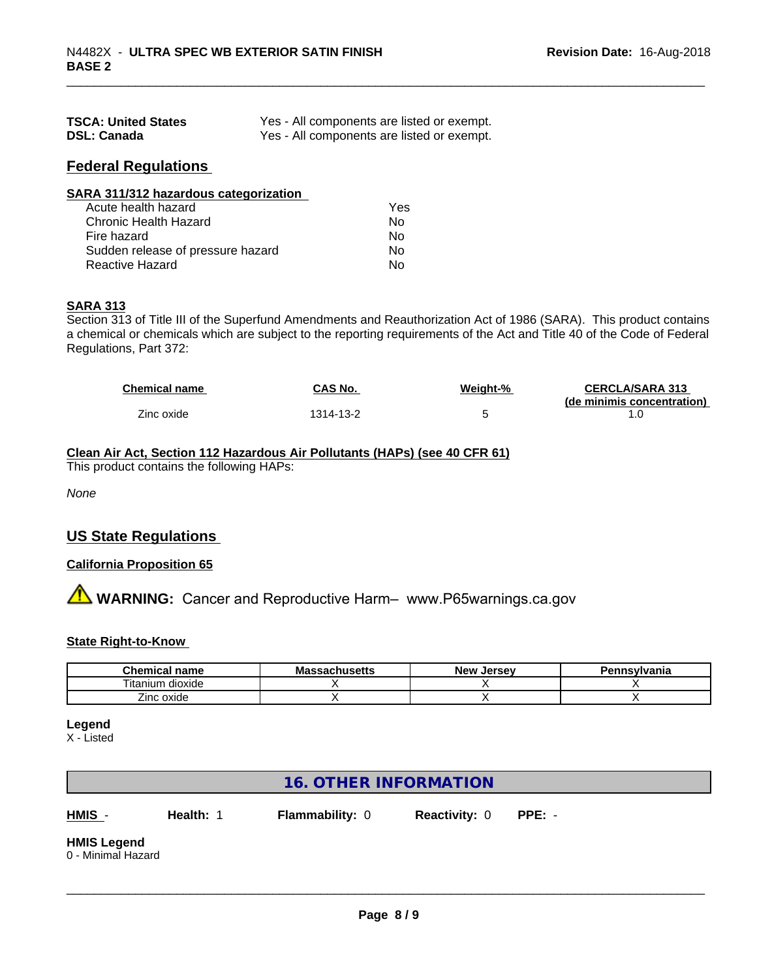| <b>TSCA: United States</b> | Yes - All components are listed or exempt. |
|----------------------------|--------------------------------------------|
| <b>DSL: Canada</b>         | Yes - All components are listed or exempt. |

#### **Federal Regulations**

| SARA 311/312 hazardous categorization |     |  |
|---------------------------------------|-----|--|
| Acute health hazard                   | Yes |  |
| Chronic Health Hazard                 | No  |  |
| Fire hazard                           | No  |  |
| Sudden release of pressure hazard     | Nο  |  |
| Reactive Hazard                       | No  |  |

#### **SARA 313**

Section 313 of Title III of the Superfund Amendments and Reauthorization Act of 1986 (SARA). This product contains a chemical or chemicals which are subject to the reporting requirements of the Act and Title 40 of the Code of Federal Regulations, Part 372:

| <b>Chemical name</b> | CAS No.   | Weight-% | <b>CERCLA/SARA 313</b>     |
|----------------------|-----------|----------|----------------------------|
|                      |           |          | (de minimis concentration) |
| Zinc oxide           | 1314-13-2 |          |                            |

#### **Clean Air Act,Section 112 Hazardous Air Pollutants (HAPs) (see 40 CFR 61)**

This product contains the following HAPs:

*None*

#### **US State Regulations**

#### **California Proposition 65**

**AVIMARNING:** Cancer and Reproductive Harm– www.P65warnings.ca.gov

#### **State Right-to-Know**

| Chemical<br>name                       | <b>Jacillacius</b><br>шс | . Jersev<br><b>New</b> | าnsvlvania |
|----------------------------------------|--------------------------|------------------------|------------|
| ⊦dioxide<br>litanium                   |                          |                        |            |
| $\overline{\phantom{a}}$<br>Zinc oxide |                          |                        |            |

#### **Legend**

X - Listed

#### **16. OTHER INFORMATION**

**HMIS** - **Health:** 1 **Flammability:** 0 **Reactivity:** 0 **PPE:** -

 $\overline{\phantom{a}}$  ,  $\overline{\phantom{a}}$  ,  $\overline{\phantom{a}}$  ,  $\overline{\phantom{a}}$  ,  $\overline{\phantom{a}}$  ,  $\overline{\phantom{a}}$  ,  $\overline{\phantom{a}}$  ,  $\overline{\phantom{a}}$  ,  $\overline{\phantom{a}}$  ,  $\overline{\phantom{a}}$  ,  $\overline{\phantom{a}}$  ,  $\overline{\phantom{a}}$  ,  $\overline{\phantom{a}}$  ,  $\overline{\phantom{a}}$  ,  $\overline{\phantom{a}}$  ,  $\overline{\phantom{a}}$ 

### **HMIS Legend**

0 - Minimal Hazard